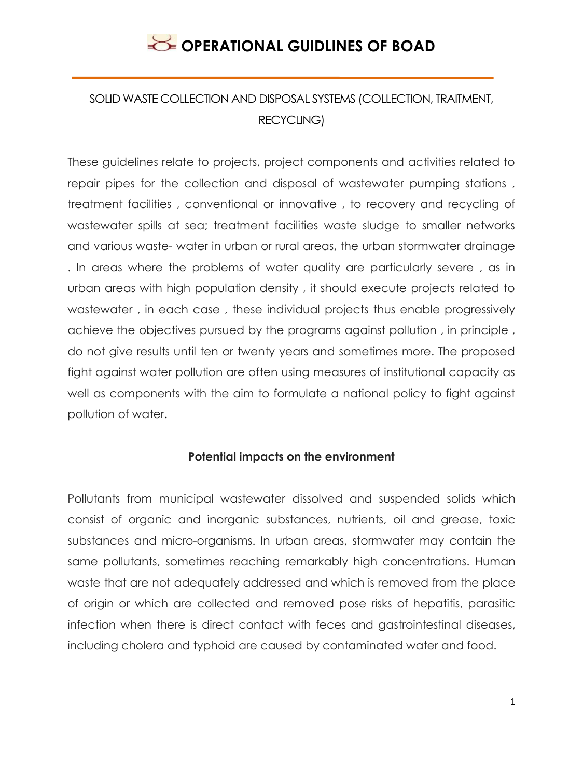## SOLID WASTE COLLECTION AND DISPOSAL SYSTEMS (COLLECTION, TRAITMENT, RECYCLING)

These guidelines relate to projects, project components and activities related to repair pipes for the collection and disposal of wastewater pumping stations , treatment facilities , conventional or innovative , to recovery and recycling of wastewater spills at sea; treatment facilities waste sludge to smaller networks and various waste- water in urban or rural areas, the urban stormwater drainage . In areas where the problems of water quality are particularly severe , as in urban areas with high population density , it should execute projects related to wastewater , in each case , these individual projects thus enable progressively achieve the objectives pursued by the programs against pollution , in principle , do not give results until ten or twenty years and sometimes more. The proposed fight against water pollution are often using measures of institutional capacity as well as components with the aim to formulate a national policy to fight against pollution of water.

### **Potential impacts on the environment**

Pollutants from municipal wastewater dissolved and suspended solids which consist of organic and inorganic substances, nutrients, oil and grease, toxic substances and micro-organisms. In urban areas, stormwater may contain the same pollutants, sometimes reaching remarkably high concentrations. Human waste that are not adequately addressed and which is removed from the place of origin or which are collected and removed pose risks of hepatitis, parasitic infection when there is direct contact with feces and gastrointestinal diseases, including cholera and typhoid are caused by contaminated water and food.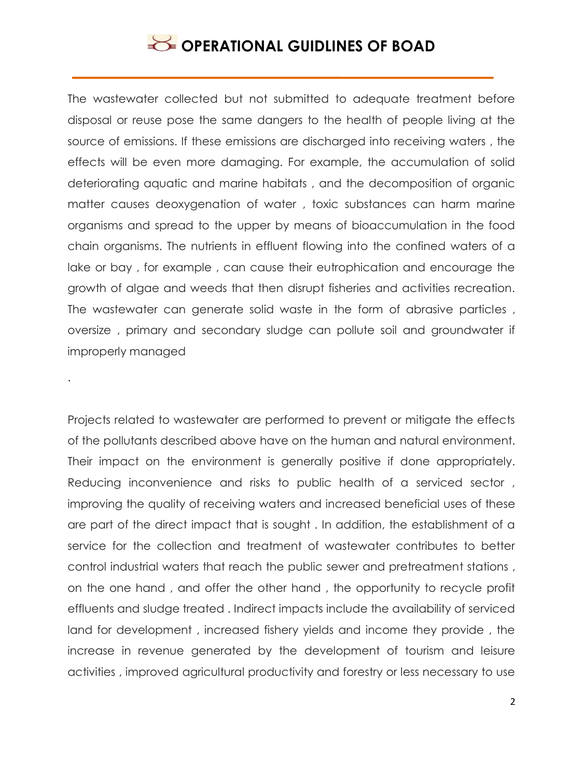The wastewater collected but not submitted to adequate treatment before disposal or reuse pose the same dangers to the health of people living at the source of emissions. If these emissions are discharged into receiving waters , the effects will be even more damaging. For example, the accumulation of solid deteriorating aquatic and marine habitats , and the decomposition of organic matter causes deoxygenation of water , toxic substances can harm marine organisms and spread to the upper by means of bioaccumulation in the food chain organisms. The nutrients in effluent flowing into the confined waters of a lake or bay , for example , can cause their eutrophication and encourage the growth of algae and weeds that then disrupt fisheries and activities recreation. The wastewater can generate solid waste in the form of abrasive particles , oversize , primary and secondary sludge can pollute soil and groundwater if improperly managed

.

Projects related to wastewater are performed to prevent or mitigate the effects of the pollutants described above have on the human and natural environment. Their impact on the environment is generally positive if done appropriately. Reducing inconvenience and risks to public health of a serviced sector , improving the quality of receiving waters and increased beneficial uses of these are part of the direct impact that is sought . In addition, the establishment of a service for the collection and treatment of wastewater contributes to better control industrial waters that reach the public sewer and pretreatment stations , on the one hand , and offer the other hand , the opportunity to recycle profit effluents and sludge treated . Indirect impacts include the availability of serviced land for development , increased fishery yields and income they provide , the increase in revenue generated by the development of tourism and leisure activities , improved agricultural productivity and forestry or less necessary to use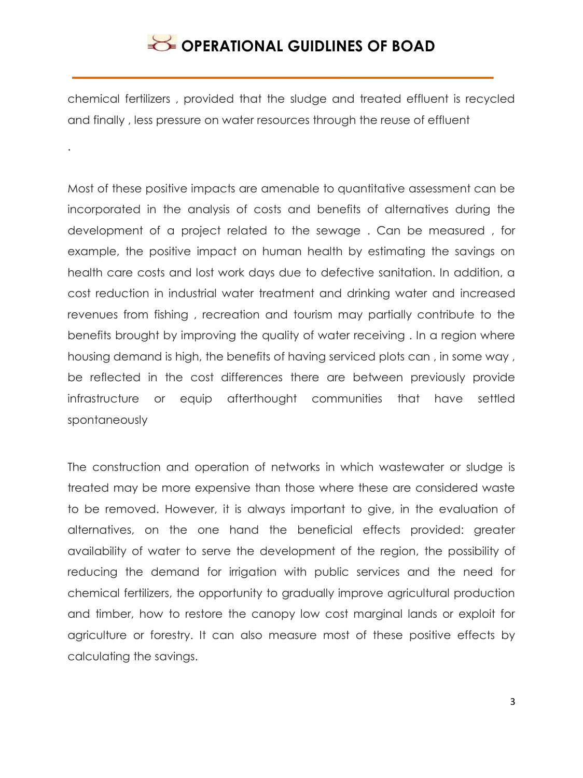chemical fertilizers , provided that the sludge and treated effluent is recycled and finally , less pressure on water resources through the reuse of effluent

.

Most of these positive impacts are amenable to quantitative assessment can be incorporated in the analysis of costs and benefits of alternatives during the development of a project related to the sewage . Can be measured , for example, the positive impact on human health by estimating the savings on health care costs and lost work days due to defective sanitation. In addition, a cost reduction in industrial water treatment and drinking water and increased revenues from fishing , recreation and tourism may partially contribute to the benefits brought by improving the quality of water receiving . In a region where housing demand is high, the benefits of having serviced plots can , in some way , be reflected in the cost differences there are between previously provide infrastructure or equip afterthought communities that have settled spontaneously

The construction and operation of networks in which wastewater or sludge is treated may be more expensive than those where these are considered waste to be removed. However, it is always important to give, in the evaluation of alternatives, on the one hand the beneficial effects provided: greater availability of water to serve the development of the region, the possibility of reducing the demand for irrigation with public services and the need for chemical fertilizers, the opportunity to gradually improve agricultural production and timber, how to restore the canopy low cost marginal lands or exploit for agriculture or forestry. It can also measure most of these positive effects by calculating the savings.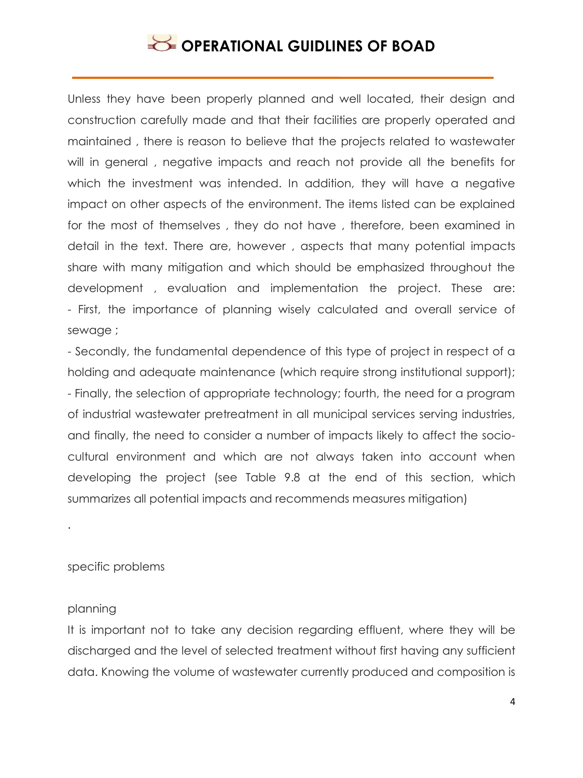Unless they have been properly planned and well located, their design and construction carefully made and that their facilities are properly operated and maintained , there is reason to believe that the projects related to wastewater will in general , negative impacts and reach not provide all the benefits for which the investment was intended. In addition, they will have a negative impact on other aspects of the environment. The items listed can be explained for the most of themselves , they do not have , therefore, been examined in detail in the text. There are, however , aspects that many potential impacts share with many mitigation and which should be emphasized throughout the development , evaluation and implementation the project. These are: - First, the importance of planning wisely calculated and overall service of sewage ;

- Secondly, the fundamental dependence of this type of project in respect of a holding and adequate maintenance (which require strong institutional support); - Finally, the selection of appropriate technology; fourth, the need for a program of industrial wastewater pretreatment in all municipal services serving industries, and finally, the need to consider a number of impacts likely to affect the sociocultural environment and which are not always taken into account when developing the project (see Table 9.8 at the end of this section, which summarizes all potential impacts and recommends measures mitigation)

specific problems

#### planning

.

It is important not to take any decision regarding effluent, where they will be discharged and the level of selected treatment without first having any sufficient data. Knowing the volume of wastewater currently produced and composition is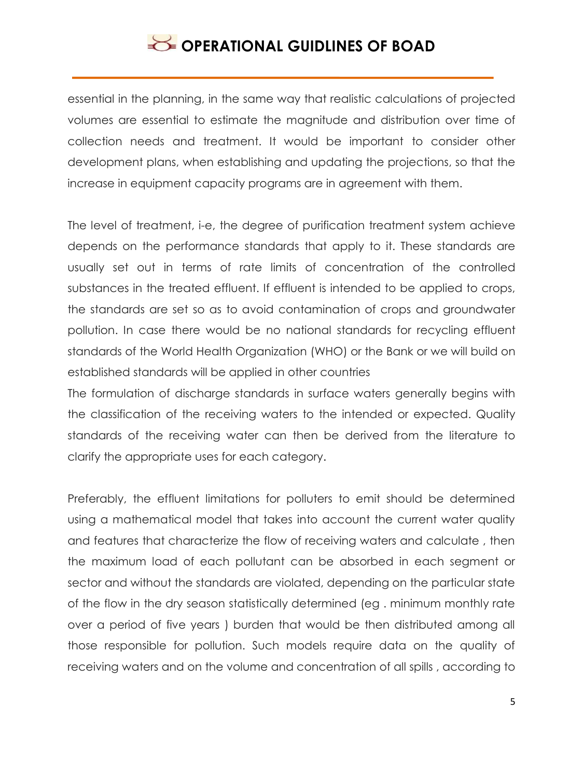essential in the planning, in the same way that realistic calculations of projected volumes are essential to estimate the magnitude and distribution over time of collection needs and treatment. It would be important to consider other development plans, when establishing and updating the projections, so that the increase in equipment capacity programs are in agreement with them.

The level of treatment, i-e, the degree of purification treatment system achieve depends on the performance standards that apply to it. These standards are usually set out in terms of rate limits of concentration of the controlled substances in the treated effluent. If effluent is intended to be applied to crops, the standards are set so as to avoid contamination of crops and groundwater pollution. In case there would be no national standards for recycling effluent standards of the World Health Organization (WHO) or the Bank or we will build on established standards will be applied in other countries

The formulation of discharge standards in surface waters generally begins with the classification of the receiving waters to the intended or expected. Quality standards of the receiving water can then be derived from the literature to clarify the appropriate uses for each category.

Preferably, the effluent limitations for polluters to emit should be determined using a mathematical model that takes into account the current water quality and features that characterize the flow of receiving waters and calculate , then the maximum load of each pollutant can be absorbed in each segment or sector and without the standards are violated, depending on the particular state of the flow in the dry season statistically determined (eg . minimum monthly rate over a period of five years ) burden that would be then distributed among all those responsible for pollution. Such models require data on the quality of receiving waters and on the volume and concentration of all spills , according to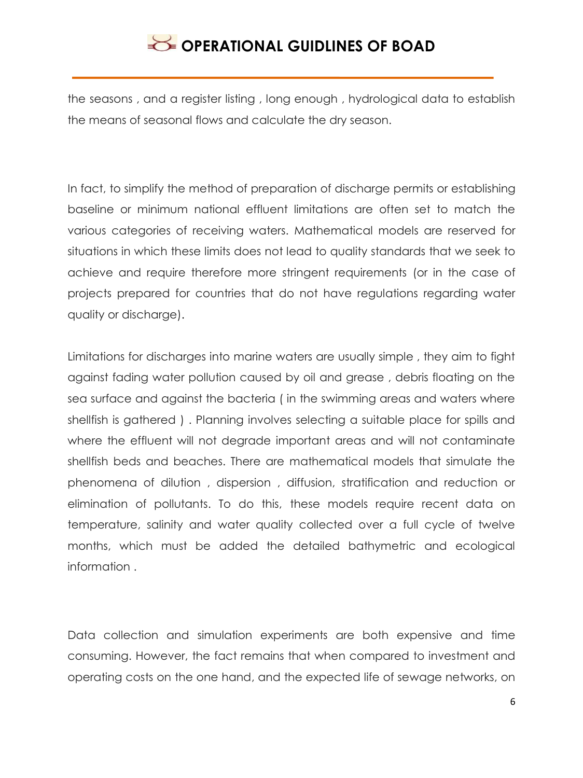the seasons , and a register listing , long enough , hydrological data to establish the means of seasonal flows and calculate the dry season.

In fact, to simplify the method of preparation of discharge permits or establishing baseline or minimum national effluent limitations are often set to match the various categories of receiving waters. Mathematical models are reserved for situations in which these limits does not lead to quality standards that we seek to achieve and require therefore more stringent requirements (or in the case of projects prepared for countries that do not have regulations regarding water quality or discharge).

Limitations for discharges into marine waters are usually simple , they aim to fight against fading water pollution caused by oil and grease , debris floating on the sea surface and against the bacteria ( in the swimming areas and waters where shellfish is gathered ) . Planning involves selecting a suitable place for spills and where the effluent will not degrade important areas and will not contaminate shellfish beds and beaches. There are mathematical models that simulate the phenomena of dilution , dispersion , diffusion, stratification and reduction or elimination of pollutants. To do this, these models require recent data on temperature, salinity and water quality collected over a full cycle of twelve months, which must be added the detailed bathymetric and ecological information .

Data collection and simulation experiments are both expensive and time consuming. However, the fact remains that when compared to investment and operating costs on the one hand, and the expected life of sewage networks, on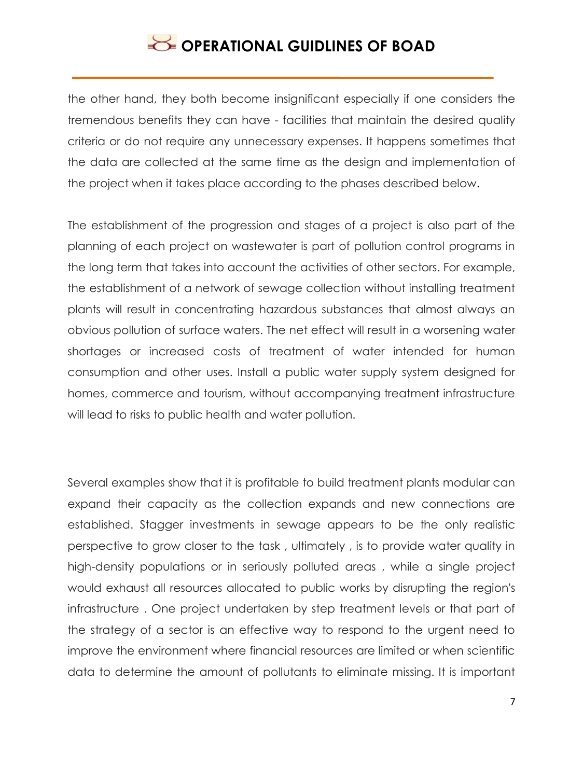the other hand, they both become insignificant especially if one considers the tremendous benefits they can have - facilities that maintain the desired quality criteria or do not require any unnecessary expenses. It happens sometimes that the data are collected at the same time as the design and implementation of the project when it takes place according to the phases described below.

The establishment of the progression and stages of a project is also part of the planning of each project on wastewater is part of pollution control programs in the long term that takes into account the activities of other sectors. For example, the establishment of a network of sewage collection without installing treatment plants will result in concentrating hazardous substances that almost always an obvious pollution of surface waters. The net effect will result in a worsening water shortages or increased costs of treatment of water intended for human consumption and other uses. Install a public water supply system designed for homes, commerce and tourism, without accompanying treatment infrastructure will lead to risks to public health and water pollution.

Several examples show that it is profitable to build treatment plants modular can expand their capacity as the collection expands and new connections are established. Stagger investments in sewage appears to be the only realistic perspective to grow closer to the task , ultimately , is to provide water quality in high-density populations or in seriously polluted areas , while a single project would exhaust all resources allocated to public works by disrupting the region's infrastructure . One project undertaken by step treatment levels or that part of the strategy of a sector is an effective way to respond to the urgent need to improve the environment where financial resources are limited or when scientific data to determine the amount of pollutants to eliminate missing. It is important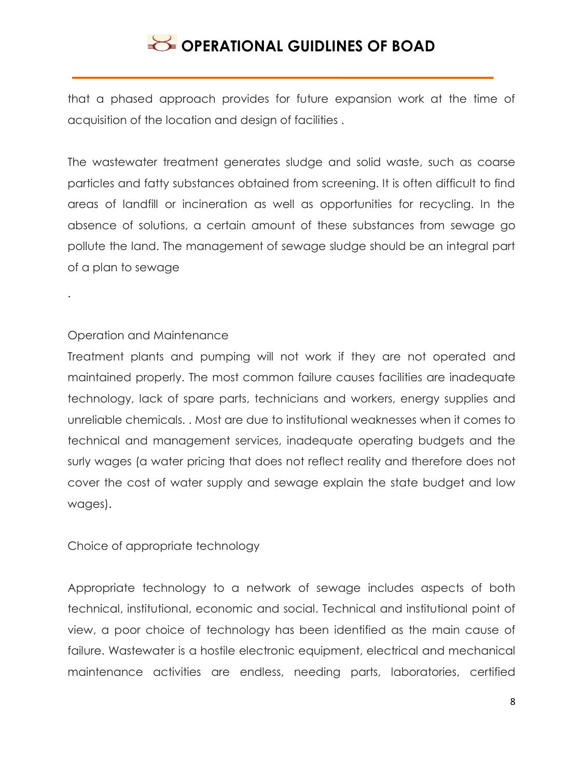that a phased approach provides for future expansion work at the time of acquisition of the location and design of facilities .

The wastewater treatment generates sludge and solid waste, such as coarse particles and fatty substances obtained from screening. It is often difficult to find areas of landfill or incineration as well as opportunities for recycling. In the absence of solutions, a certain amount of these substances from sewage go pollute the land. The management of sewage sludge should be an integral part of a plan to sewage

### Operation and Maintenance

.

Treatment plants and pumping will not work if they are not operated and maintained properly. The most common failure causes facilities are inadequate technology, lack of spare parts, technicians and workers, energy supplies and unreliable chemicals. . Most are due to institutional weaknesses when it comes to technical and management services, inadequate operating budgets and the surly wages (a water pricing that does not reflect reality and therefore does not cover the cost of water supply and sewage explain the state budget and low wages).

Choice of appropriate technology

Appropriate technology to a network of sewage includes aspects of both technical, institutional, economic and social. Technical and institutional point of view, a poor choice of technology has been identified as the main cause of failure. Wastewater is a hostile electronic equipment, electrical and mechanical maintenance activities are endless, needing parts, laboratories, certified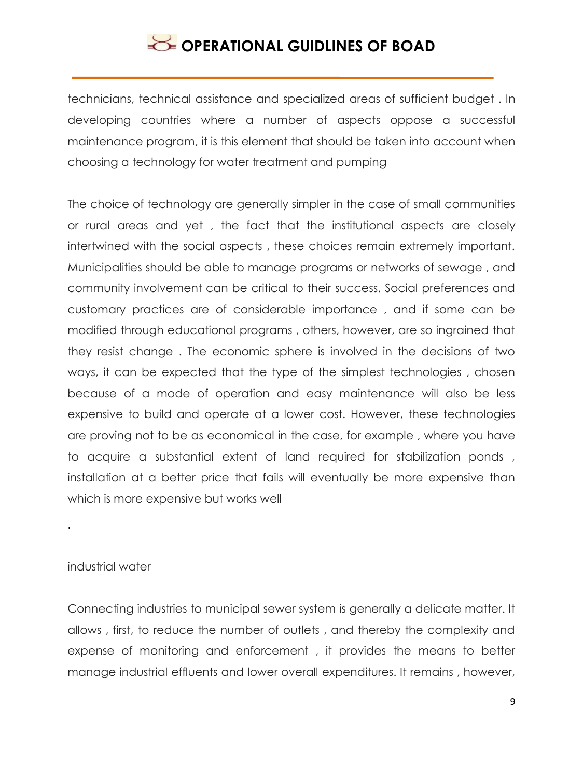technicians, technical assistance and specialized areas of sufficient budget . In developing countries where a number of aspects oppose a successful maintenance program, it is this element that should be taken into account when choosing a technology for water treatment and pumping

The choice of technology are generally simpler in the case of small communities or rural areas and yet , the fact that the institutional aspects are closely intertwined with the social aspects , these choices remain extremely important. Municipalities should be able to manage programs or networks of sewage , and community involvement can be critical to their success. Social preferences and customary practices are of considerable importance , and if some can be modified through educational programs , others, however, are so ingrained that they resist change . The economic sphere is involved in the decisions of two ways, it can be expected that the type of the simplest technologies , chosen because of a mode of operation and easy maintenance will also be less expensive to build and operate at a lower cost. However, these technologies are proving not to be as economical in the case, for example , where you have to acquire a substantial extent of land required for stabilization ponds , installation at a better price that fails will eventually be more expensive than which is more expensive but works well

### industrial water

.

Connecting industries to municipal sewer system is generally a delicate matter. It allows , first, to reduce the number of outlets , and thereby the complexity and expense of monitoring and enforcement , it provides the means to better manage industrial effluents and lower overall expenditures. It remains , however,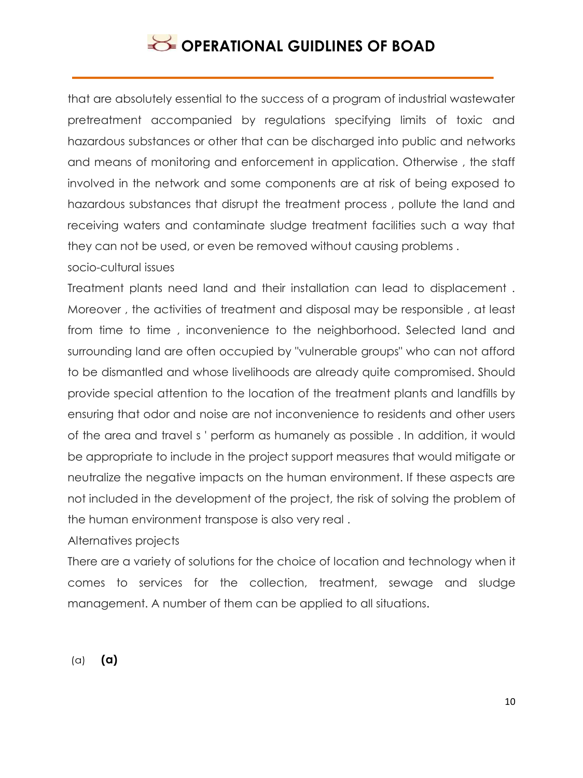that are absolutely essential to the success of a program of industrial wastewater pretreatment accompanied by regulations specifying limits of toxic and hazardous substances or other that can be discharged into public and networks and means of monitoring and enforcement in application. Otherwise , the staff involved in the network and some components are at risk of being exposed to hazardous substances that disrupt the treatment process , pollute the land and receiving waters and contaminate sludge treatment facilities such a way that they can not be used, or even be removed without causing problems .

socio-cultural issues

Treatment plants need land and their installation can lead to displacement . Moreover , the activities of treatment and disposal may be responsible , at least from time to time , inconvenience to the neighborhood. Selected land and surrounding land are often occupied by "vulnerable groups" who can not afford to be dismantled and whose livelihoods are already quite compromised. Should provide special attention to the location of the treatment plants and landfills by ensuring that odor and noise are not inconvenience to residents and other users of the area and travel s ' perform as humanely as possible . In addition, it would be appropriate to include in the project support measures that would mitigate or neutralize the negative impacts on the human environment. If these aspects are not included in the development of the project, the risk of solving the problem of the human environment transpose is also very real .

Alternatives projects

There are a variety of solutions for the choice of location and technology when it comes to services for the collection, treatment, sewage and sludge management. A number of them can be applied to all situations.

(a) **(a)**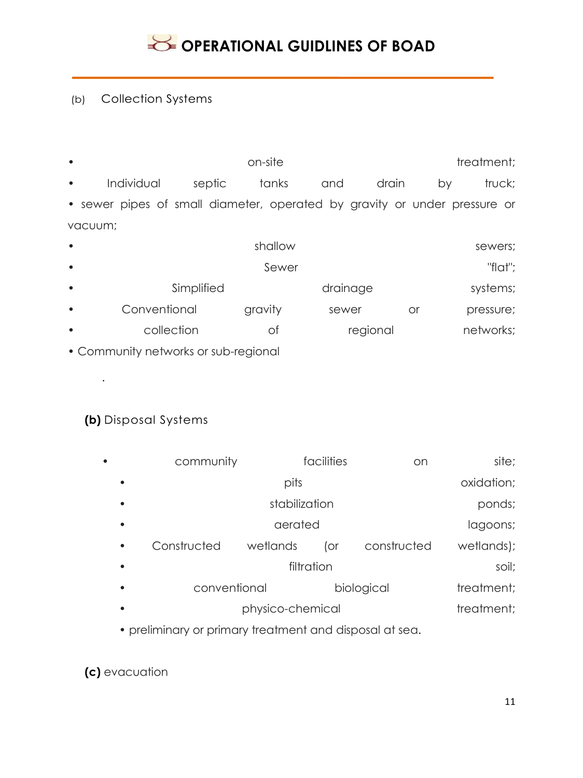## (b) Collection Systems

| $\bullet$ |                                                                           |                                   | on-site |  |           | treatment; |  |
|-----------|---------------------------------------------------------------------------|-----------------------------------|---------|--|-----------|------------|--|
| $\bullet$ |                                                                           | Individual septic tanks and drain |         |  | <b>DV</b> | truck;     |  |
|           | • sewer pipes of small diameter, operated by gravity or under pressure or |                                   |         |  |           |            |  |
|           | vacuum;                                                                   |                                   |         |  |           |            |  |

| $\bullet$ |              | shallow |          |    | sewers;   |
|-----------|--------------|---------|----------|----|-----------|
| $\bullet$ |              |         | "flat";  |    |           |
| $\bullet$ | Simplified   |         | drainage |    | systems;  |
| $\bullet$ | Conventional | gravity | sewer    | or | pressure; |
| $\bullet$ | collection   | оt      | regional |    | networks; |
|           |              |         |          |    |           |

• Community networks or sub-regional

## **(b)** Disposal Systems

.

| $\bullet$ | community    |            | facilities | on          | site;      |
|-----------|--------------|------------|------------|-------------|------------|
| $\bullet$ |              | pits       |            |             | oxidation; |
| $\bullet$ |              | ponds;     |            |             |            |
| $\bullet$ |              | lagoons;   |            |             |            |
| $\bullet$ | Constructed  | wetlands   | (or        | constructed | wetlands); |
| $\bullet$ |              | soil;      |            |             |            |
| $\bullet$ | conventional | treatment; |            |             |            |
| $\bullet$ |              | treatment; |            |             |            |
|           |              |            |            |             |            |

• preliminary or primary treatment and disposal at sea.

**(c)** evacuation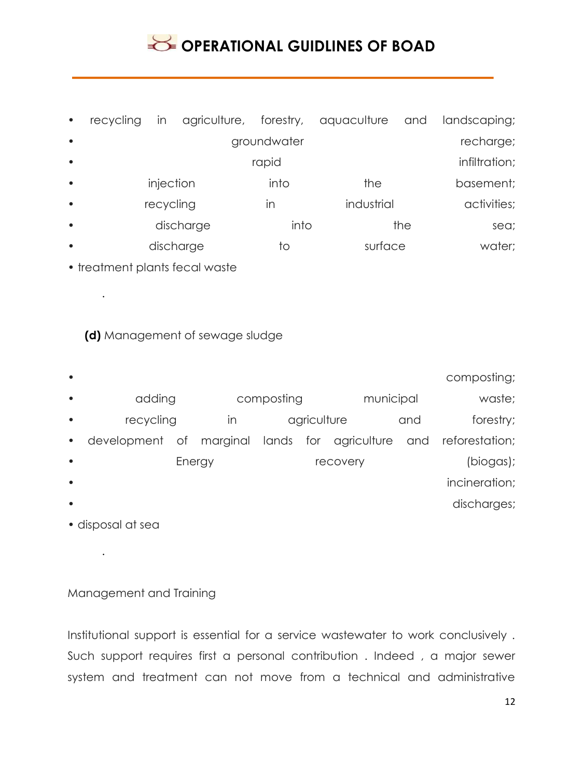# **SECTIONAL GUIDLINES OF BOAD**

| $\bullet$ | recycling | In        |           |             | agriculture, forestry, aquaculture and |            | landscaping;  |
|-----------|-----------|-----------|-----------|-------------|----------------------------------------|------------|---------------|
| $\bullet$ |           |           |           | groundwater |                                        |            | recharge;     |
| $\bullet$ |           |           |           | rapid       |                                        |            | infiltration; |
| $\bullet$ |           | injection |           | into        | the                                    |            | basement;     |
| $\bullet$ | recycling |           |           | in          |                                        | industrial |               |
| $\bullet$ |           |           | discharge | into        |                                        | the        | sea;          |
| $\bullet$ |           |           | discharge | tΟ          | surface                                |            | water;        |
|           |           |           |           |             |                                        |            |               |

• treatment plants fecal waste

.

### **(d)** Management of sewage sludge

| $\bullet$ |                                               |        |            |             |  |           |     | composting;        |
|-----------|-----------------------------------------------|--------|------------|-------------|--|-----------|-----|--------------------|
| $\bullet$ | adding                                        |        | composting |             |  | municipal |     | waste;             |
| $\bullet$ | recycling                                     |        | In         | agriculture |  |           | and | forestry;          |
| $\bullet$ | development of marginal lands for agriculture |        |            |             |  |           |     | and reforestation; |
| $\bullet$ |                                               | Energy |            |             |  | recovery  |     | (biogas);          |
| $\bullet$ |                                               |        |            |             |  |           |     | incineration;      |
| $\bullet$ |                                               |        |            |             |  |           |     | discharges;        |
|           |                                               |        |            |             |  |           |     |                    |

• disposal at sea

.

### Management and Training

Institutional support is essential for a service wastewater to work conclusively . Such support requires first a personal contribution . Indeed , a major sewer system and treatment can not move from a technical and administrative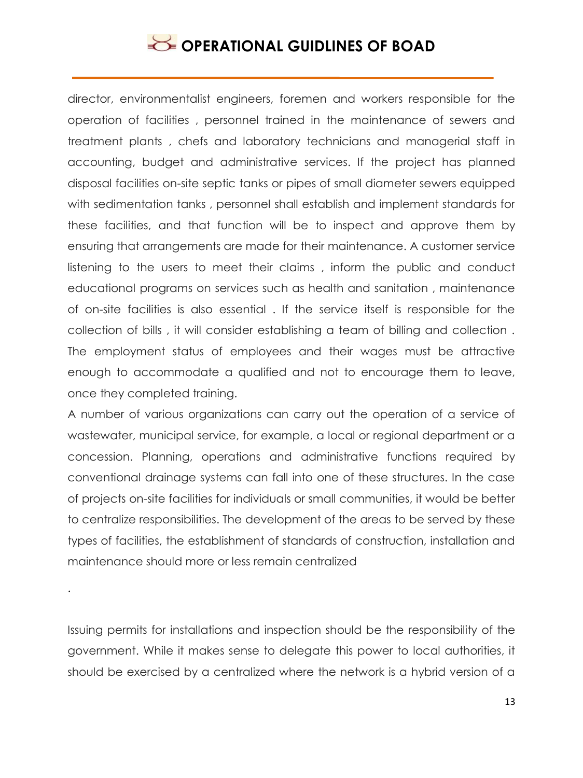director, environmentalist engineers, foremen and workers responsible for the operation of facilities , personnel trained in the maintenance of sewers and treatment plants , chefs and laboratory technicians and managerial staff in accounting, budget and administrative services. If the project has planned disposal facilities on-site septic tanks or pipes of small diameter sewers equipped with sedimentation tanks , personnel shall establish and implement standards for these facilities, and that function will be to inspect and approve them by ensuring that arrangements are made for their maintenance. A customer service listening to the users to meet their claims , inform the public and conduct educational programs on services such as health and sanitation , maintenance of on-site facilities is also essential . If the service itself is responsible for the collection of bills , it will consider establishing a team of billing and collection . The employment status of employees and their wages must be attractive enough to accommodate a qualified and not to encourage them to leave, once they completed training.

A number of various organizations can carry out the operation of a service of wastewater, municipal service, for example, a local or regional department or a concession. Planning, operations and administrative functions required by conventional drainage systems can fall into one of these structures. In the case of projects on-site facilities for individuals or small communities, it would be better to centralize responsibilities. The development of the areas to be served by these types of facilities, the establishment of standards of construction, installation and maintenance should more or less remain centralized

Issuing permits for installations and inspection should be the responsibility of the government. While it makes sense to delegate this power to local authorities, it should be exercised by a centralized where the network is a hybrid version of a

.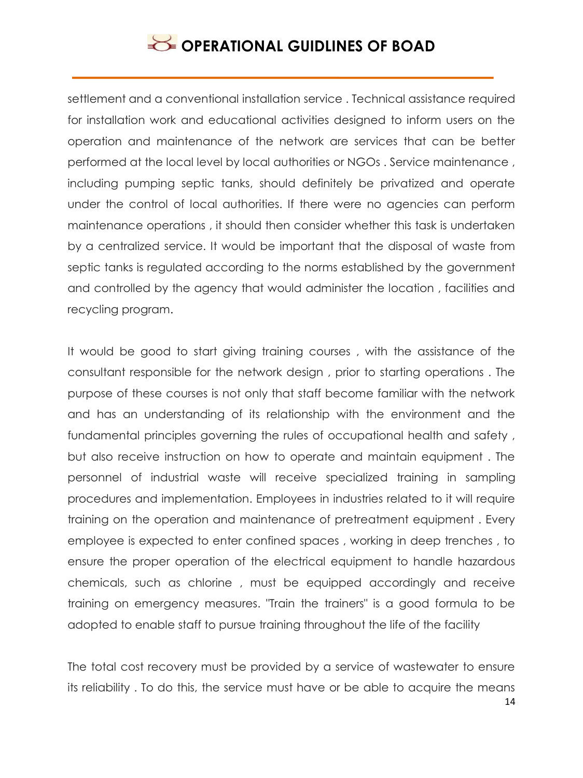settlement and a conventional installation service . Technical assistance required for installation work and educational activities designed to inform users on the operation and maintenance of the network are services that can be better performed at the local level by local authorities or NGOs . Service maintenance , including pumping septic tanks, should definitely be privatized and operate under the control of local authorities. If there were no agencies can perform maintenance operations , it should then consider whether this task is undertaken by a centralized service. It would be important that the disposal of waste from septic tanks is regulated according to the norms established by the government and controlled by the agency that would administer the location , facilities and recycling program.

It would be good to start giving training courses , with the assistance of the consultant responsible for the network design , prior to starting operations . The purpose of these courses is not only that staff become familiar with the network and has an understanding of its relationship with the environment and the fundamental principles governing the rules of occupational health and safety , but also receive instruction on how to operate and maintain equipment . The personnel of industrial waste will receive specialized training in sampling procedures and implementation. Employees in industries related to it will require training on the operation and maintenance of pretreatment equipment . Every employee is expected to enter confined spaces , working in deep trenches , to ensure the proper operation of the electrical equipment to handle hazardous chemicals, such as chlorine , must be equipped accordingly and receive training on emergency measures. "Train the trainers" is a good formula to be adopted to enable staff to pursue training throughout the life of the facility

The total cost recovery must be provided by a service of wastewater to ensure its reliability . To do this, the service must have or be able to acquire the means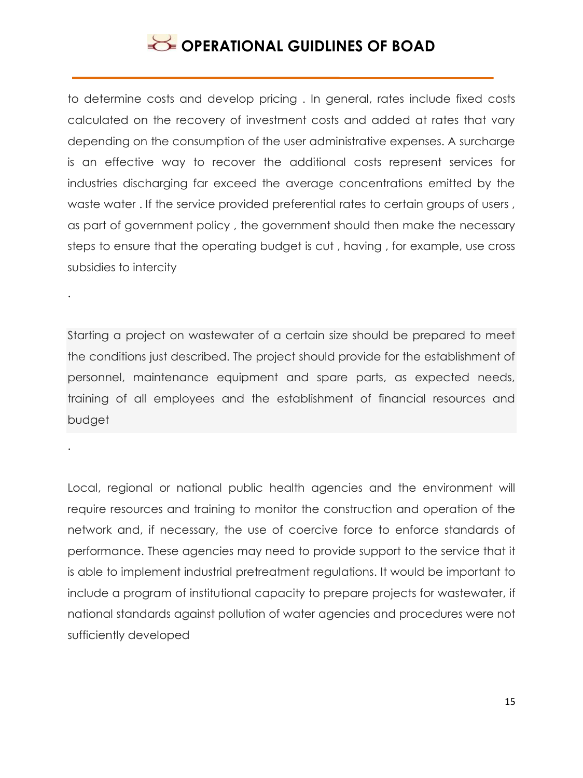# **SECTIONAL GUIDLINES OF BOAD**

to determine costs and develop pricing . In general, rates include fixed costs calculated on the recovery of investment costs and added at rates that vary depending on the consumption of the user administrative expenses. A surcharge is an effective way to recover the additional costs represent services for industries discharging far exceed the average concentrations emitted by the waste water . If the service provided preferential rates to certain groups of users , as part of government policy , the government should then make the necessary steps to ensure that the operating budget is cut , having , for example, use cross subsidies to intercity

Starting a project on wastewater of a certain size should be prepared to meet the conditions just described. The project should provide for the establishment of personnel, maintenance equipment and spare parts, as expected needs, training of all employees and the establishment of financial resources and budget

.

.

Local, regional or national public health agencies and the environment will require resources and training to monitor the construction and operation of the network and, if necessary, the use of coercive force to enforce standards of performance. These agencies may need to provide support to the service that it is able to implement industrial pretreatment regulations. It would be important to include a program of institutional capacity to prepare projects for wastewater, if national standards against pollution of water agencies and procedures were not sufficiently developed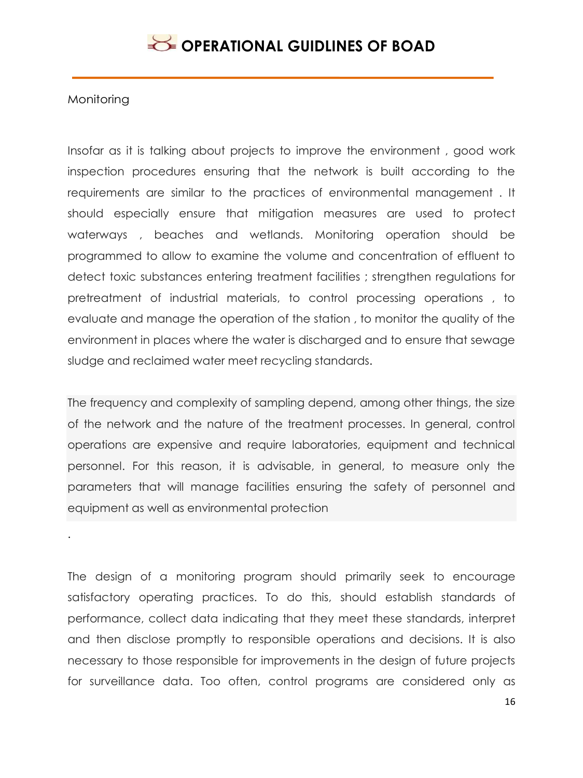### **Monitoring**

Insofar as it is talking about projects to improve the environment , good work inspection procedures ensuring that the network is built according to the requirements are similar to the practices of environmental management . It should especially ensure that mitigation measures are used to protect waterways , beaches and wetlands. Monitoring operation should be programmed to allow to examine the volume and concentration of effluent to detect toxic substances entering treatment facilities ; strengthen regulations for pretreatment of industrial materials, to control processing operations , to evaluate and manage the operation of the station , to monitor the quality of the environment in places where the water is discharged and to ensure that sewage sludge and reclaimed water meet recycling standards.

The frequency and complexity of sampling depend, among other things, the size of the network and the nature of the treatment processes. In general, control operations are expensive and require laboratories, equipment and technical personnel. For this reason, it is advisable, in general, to measure only the parameters that will manage facilities ensuring the safety of personnel and equipment as well as environmental protection

.

The design of a monitoring program should primarily seek to encourage satisfactory operating practices. To do this, should establish standards of performance, collect data indicating that they meet these standards, interpret and then disclose promptly to responsible operations and decisions. It is also necessary to those responsible for improvements in the design of future projects for surveillance data. Too often, control programs are considered only as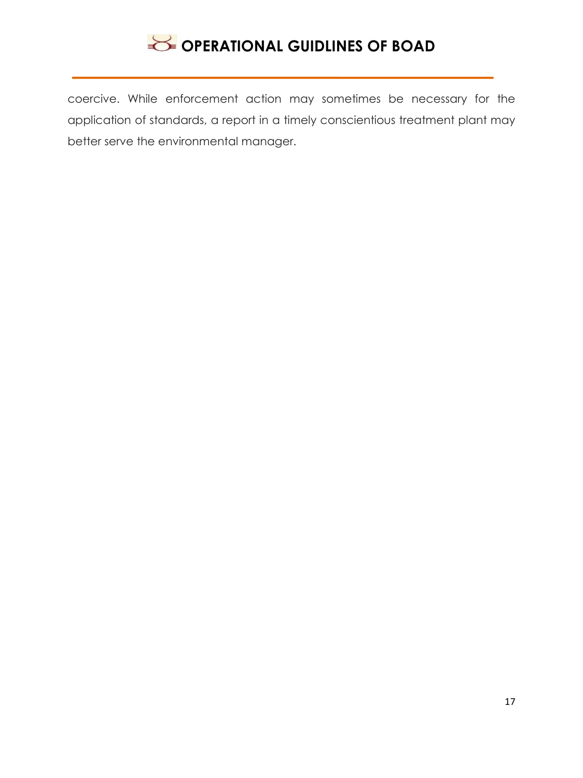coercive. While enforcement action may sometimes be necessary for the application of standards, a report in a timely conscientious treatment plant may better serve the environmental manager.